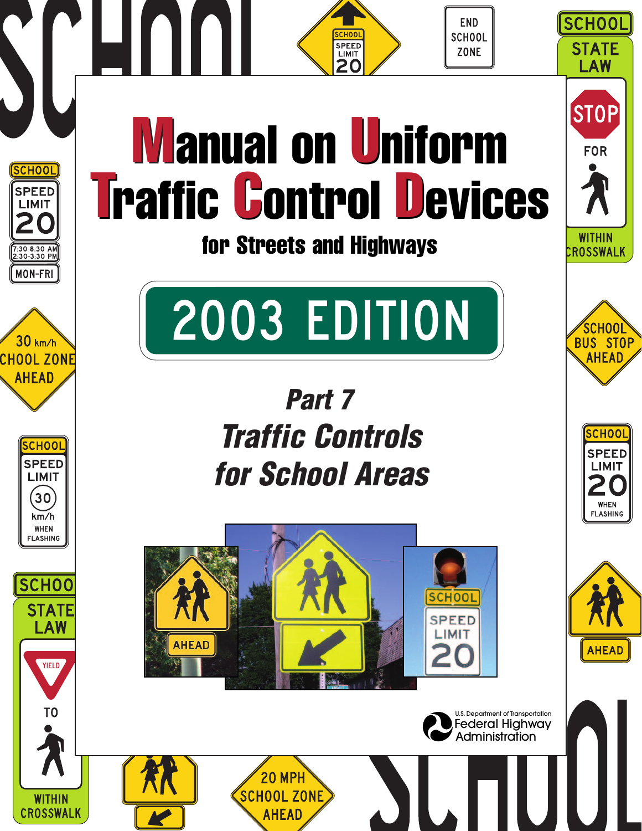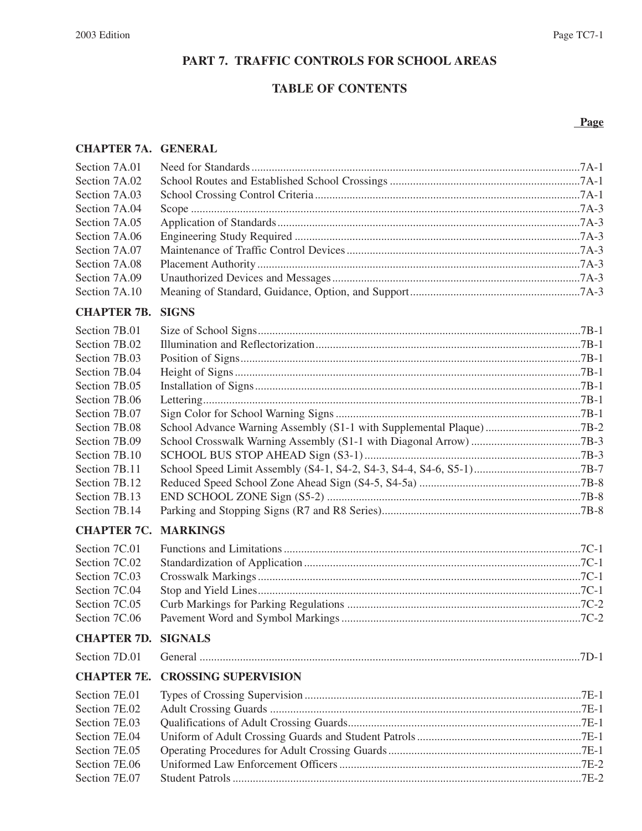# **PART 7. TRAFFIC CONTROLS FOR SCHOOL AREAS**

# **TABLE OF CONTENTS**

#### **Page**

# **CHAPTER 7A. GENERAL**

| Section 7A.01      |              |  |
|--------------------|--------------|--|
| Section 7A.02      |              |  |
| Section 7A.03      |              |  |
| Section 7A.04      |              |  |
| Section 7A.05      |              |  |
| Section 7A.06      |              |  |
| Section 7A.07      |              |  |
| Section 7A.08      |              |  |
| Section 7A.09      |              |  |
| Section 7A.10      |              |  |
| <b>CHAPTER 7B.</b> | <b>SIGNS</b> |  |
| Section 7B.01      |              |  |
| Section 7B.02      |              |  |
| Section 7B.03      |              |  |
| Section 7B.04      |              |  |
| Section 7B.05      |              |  |

| $500$ $1011$ $1101$ |                                                                     |  |
|---------------------|---------------------------------------------------------------------|--|
| Section 7B.05       |                                                                     |  |
| Section 7B.06       |                                                                     |  |
| Section 7B.07       |                                                                     |  |
| Section 7B.08       | School Advance Warning Assembly (S1-1 with Supplemental Plaque)7B-2 |  |
| Section 7B.09       |                                                                     |  |
| Section 7B.10       |                                                                     |  |
| Section 7B.11       |                                                                     |  |
| Section 7B.12       |                                                                     |  |
| Section 7B.13       |                                                                     |  |
| Section 7B.14       |                                                                     |  |
|                     |                                                                     |  |

# **CHAPTER 7C. MARKINGS**

| Section 7C.02 |  |
|---------------|--|
|               |  |
| Section 7C.04 |  |
| Section 7C.05 |  |
|               |  |
|               |  |

# **CHAPTER 7D. SIGNALS**

| Section<br>and the contract of the contract of the contract of the contract of the contract of the contract of the contract of the contract of the contract of the contract of the contract of the contract of the contract of the contra<br>D.VI<br>_ _ _ _ _ | степетат |  |
|----------------------------------------------------------------------------------------------------------------------------------------------------------------------------------------------------------------------------------------------------------------|----------|--|
|                                                                                                                                                                                                                                                                |          |  |

# **CHAPTER 7E. CROSSING SUPERVISION**

| Section 7E.01 |  |
|---------------|--|
| Section 7E.02 |  |
| Section 7E.03 |  |
| Section 7E.04 |  |
| Section 7E.05 |  |
| Section 7E.06 |  |
| Section 7E.07 |  |
|               |  |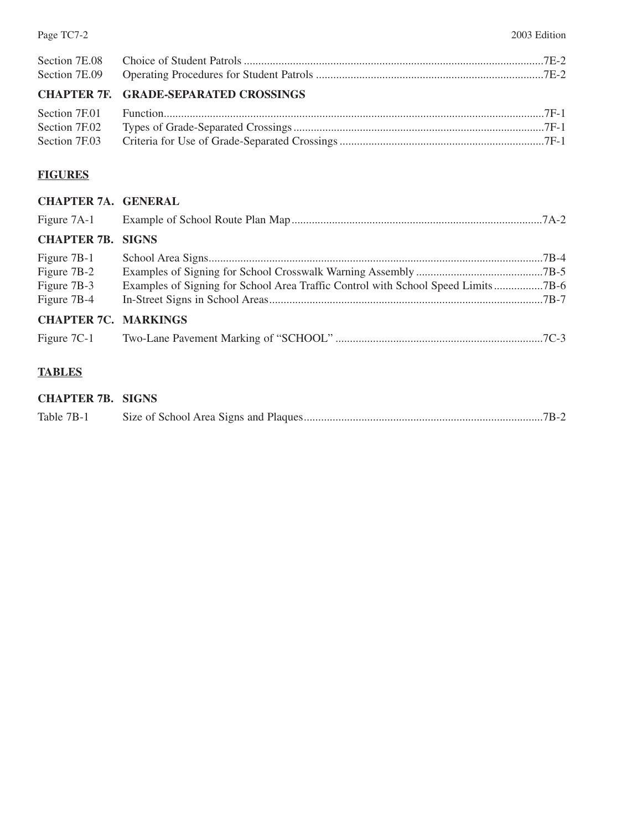| <b>CHAPTER 7F. GRADE-SEPARATED CROSSINGS</b> |  |
|----------------------------------------------|--|
|                                              |  |
|                                              |  |

Section 7F.03 Criteria for Use of Grade-Separated Crossings .......................................................................7F-1

# **FIGURES**

| <b>CHAPTER 7A. GENERAL</b>  |                                                                                  |
|-----------------------------|----------------------------------------------------------------------------------|
| Figure 7A-1                 |                                                                                  |
| <b>CHAPTER 7B. SIGNS</b>    |                                                                                  |
| Figure 7B-1                 | $.7B-4$                                                                          |
| Figure 7B-2                 |                                                                                  |
| Figure 7B-3                 | Examples of Signing for School Area Traffic Control with School Speed Limits7B-6 |
| Figure 7B-4                 |                                                                                  |
| <b>CHAPTER 7C. MARKINGS</b> |                                                                                  |
| Figure 7C-1                 |                                                                                  |
| <b>TABLES</b>               |                                                                                  |

# **CHAPTER 7B. SIGNS**

| Table 7B-1 |  |  |
|------------|--|--|
|------------|--|--|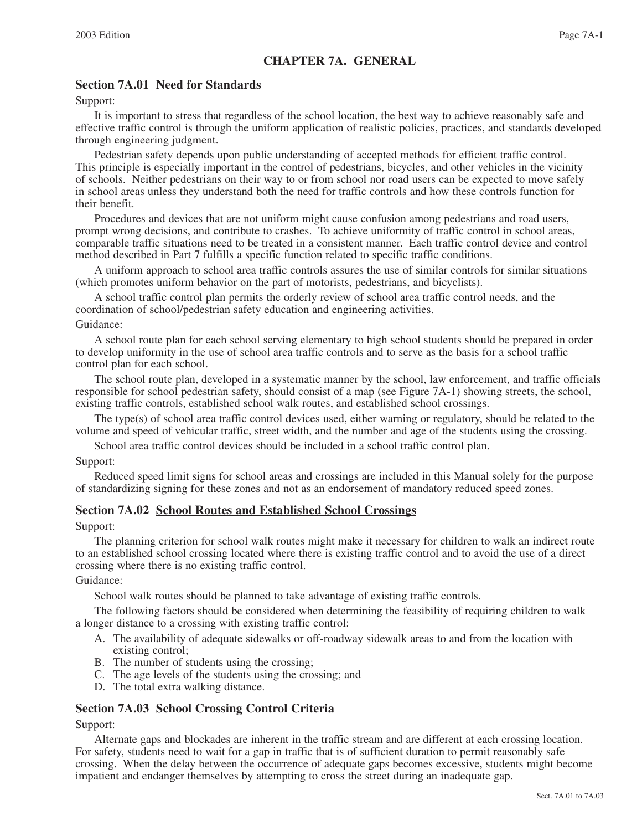# **CHAPTER 7A. GENERAL**

# **Section 7A.01 Need for Standards**

Support:

It is important to stress that regardless of the school location, the best way to achieve reasonably safe and effective traffic control is through the uniform application of realistic policies, practices, and standards developed through engineering judgment.

Pedestrian safety depends upon public understanding of accepted methods for efficient traffic control. This principle is especially important in the control of pedestrians, bicycles, and other vehicles in the vicinity of schools. Neither pedestrians on their way to or from school nor road users can be expected to move safely in school areas unless they understand both the need for traffic controls and how these controls function for their benefit.

Procedures and devices that are not uniform might cause confusion among pedestrians and road users, prompt wrong decisions, and contribute to crashes. To achieve uniformity of traffic control in school areas, comparable traffic situations need to be treated in a consistent manner. Each traffic control device and control method described in Part 7 fulfills a specific function related to specific traffic conditions.

A uniform approach to school area traffic controls assures the use of similar controls for similar situations (which promotes uniform behavior on the part of motorists, pedestrians, and bicyclists).

A school traffic control plan permits the orderly review of school area traffic control needs, and the coordination of school/pedestrian safety education and engineering activities.

#### Guidance:

A school route plan for each school serving elementary to high school students should be prepared in order to develop uniformity in the use of school area traffic controls and to serve as the basis for a school traffic control plan for each school.

The school route plan, developed in a systematic manner by the school, law enforcement, and traffic officials responsible for school pedestrian safety, should consist of a map (see Figure 7A-1) showing streets, the school, existing traffic controls, established school walk routes, and established school crossings.

The type(s) of school area traffic control devices used, either warning or regulatory, should be related to the volume and speed of vehicular traffic, street width, and the number and age of the students using the crossing.

School area traffic control devices should be included in a school traffic control plan.

#### Support:

Reduced speed limit signs for school areas and crossings are included in this Manual solely for the purpose of standardizing signing for these zones and not as an endorsement of mandatory reduced speed zones.

# **Section 7A.02 School Routes and Established School Crossings**

Support:

The planning criterion for school walk routes might make it necessary for children to walk an indirect route to an established school crossing located where there is existing traffic control and to avoid the use of a direct crossing where there is no existing traffic control.

Guidance:

School walk routes should be planned to take advantage of existing traffic controls.

The following factors should be considered when determining the feasibility of requiring children to walk a longer distance to a crossing with existing traffic control:

- A. The availability of adequate sidewalks or off-roadway sidewalk areas to and from the location with existing control;
- B. The number of students using the crossing;
- C. The age levels of the students using the crossing; and
- D. The total extra walking distance.

# **Section 7A.03 School Crossing Control Criteria**

#### Support:

Alternate gaps and blockades are inherent in the traffic stream and are different at each crossing location. For safety, students need to wait for a gap in traffic that is of sufficient duration to permit reasonably safe crossing. When the delay between the occurrence of adequate gaps becomes excessive, students might become impatient and endanger themselves by attempting to cross the street during an inadequate gap.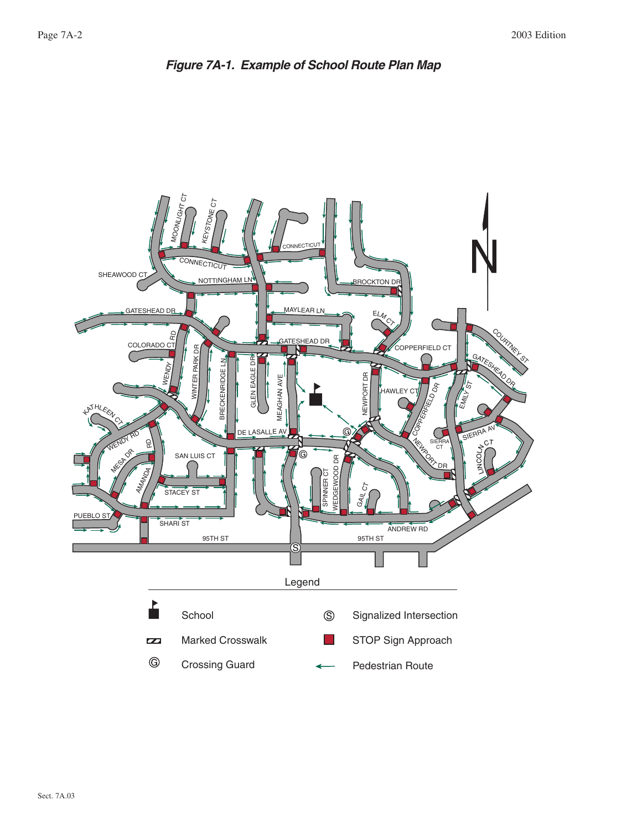

**Figure 7A-1. Example of School Route Plan Map**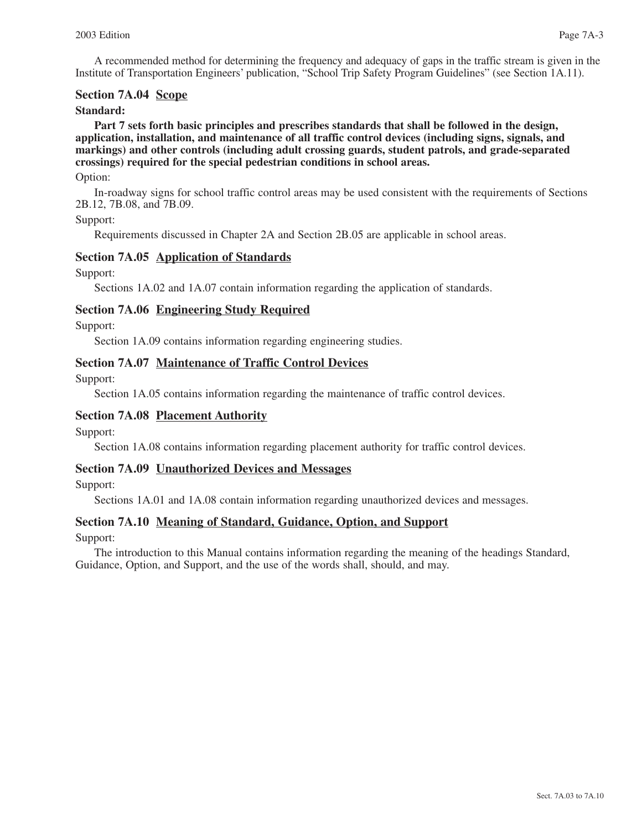A recommended method for determining the frequency and adequacy of gaps in the traffic stream is given in the Institute of Transportation Engineers' publication, "School Trip Safety Program Guidelines" (see Section 1A.11).

# **Section 7A.04 Scope**

# **Standard:**

**Part 7 sets forth basic principles and prescribes standards that shall be followed in the design, application, installation, and maintenance of all traffic control devices (including signs, signals, and markings) and other controls (including adult crossing guards, student patrols, and grade-separated crossings) required for the special pedestrian conditions in school areas.**

# Option:

In-roadway signs for school traffic control areas may be used consistent with the requirements of Sections 2B.12, 7B.08, and 7B.09.

# Support:

Requirements discussed in Chapter 2A and Section 2B.05 are applicable in school areas.

# **Section 7A.05 Application of Standards**

Support:

Sections 1A.02 and 1A.07 contain information regarding the application of standards.

# **Section 7A.06 Engineering Study Required**

Support:

Section 1A.09 contains information regarding engineering studies.

# **Section 7A.07 Maintenance of Traffic Control Devices**

Support:

Section 1A.05 contains information regarding the maintenance of traffic control devices.

# **Section 7A.08 Placement Authority**

Support:

Section 1A.08 contains information regarding placement authority for traffic control devices.

# **Section 7A.09 Unauthorized Devices and Messages**

Support:

Sections 1A.01 and 1A.08 contain information regarding unauthorized devices and messages.

# **Section 7A.10 Meaning of Standard, Guidance, Option, and Support**

# Support:

The introduction to this Manual contains information regarding the meaning of the headings Standard, Guidance, Option, and Support, and the use of the words shall, should, and may.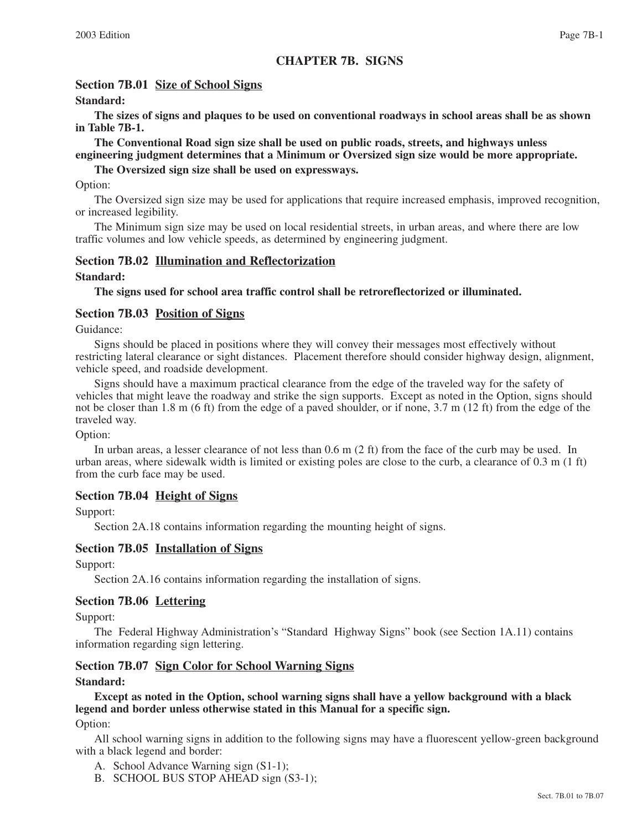# **CHAPTER 7B. SIGNS**

# **Section 7B.01 Size of School Signs**

#### **Standard:**

**The sizes of signs and plaques to be used on conventional roadways in school areas shall be as shown in Table 7B-1.**

**The Conventional Road sign size shall be used on public roads, streets, and highways unless engineering judgment determines that a Minimum or Oversized sign size would be more appropriate.**

#### **The Oversized sign size shall be used on expressways.**

Option:

The Oversized sign size may be used for applications that require increased emphasis, improved recognition, or increased legibility.

The Minimum sign size may be used on local residential streets, in urban areas, and where there are low traffic volumes and low vehicle speeds, as determined by engineering judgment.

# **Section 7B.02 Illumination and Reflectorization**

#### **Standard:**

#### **The signs used for school area traffic control shall be retroreflectorized or illuminated.**

# **Section 7B.03 Position of Signs**

Guidance:

Signs should be placed in positions where they will convey their messages most effectively without restricting lateral clearance or sight distances. Placement therefore should consider highway design, alignment, vehicle speed, and roadside development.

Signs should have a maximum practical clearance from the edge of the traveled way for the safety of vehicles that might leave the roadway and strike the sign supports. Except as noted in the Option, signs should not be closer than 1.8 m (6 ft) from the edge of a paved shoulder, or if none, 3.7 m (12 ft) from the edge of the traveled way.

#### Option:

In urban areas, a lesser clearance of not less than 0.6 m (2 ft) from the face of the curb may be used. In urban areas, where sidewalk width is limited or existing poles are close to the curb, a clearance of 0.3 m (1 ft) from the curb face may be used.

# **Section 7B.04 Height of Signs**

Support:

Section 2A.18 contains information regarding the mounting height of signs.

# **Section 7B.05 Installation of Signs**

Support:

Section 2A.16 contains information regarding the installation of signs.

# **Section 7B.06 Lettering**

Support:

The Federal Highway Administration's "Standard Highway Signs" book (see Section 1A.11) contains information regarding sign lettering.

# **Section 7B.07 Sign Color for School Warning Signs**

#### **Standard:**

**Except as noted in the Option, school warning signs shall have a yellow background with a black legend and border unless otherwise stated in this Manual for a specific sign.**

Option:

All school warning signs in addition to the following signs may have a fluorescent yellow-green background with a black legend and border:

- A. School Advance Warning sign (S1-1);
- B. SCHOOL BUS STOP AHEAD sign (S3-1);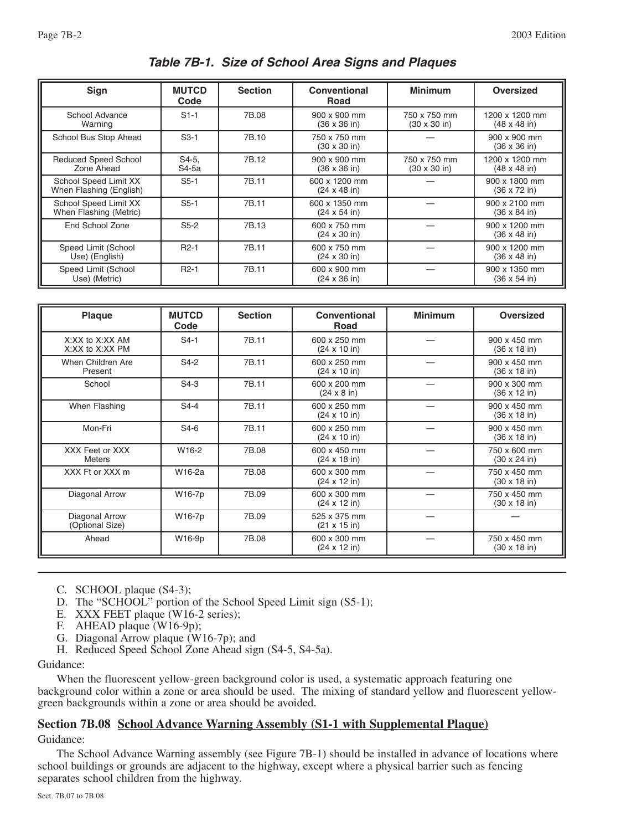| Sign                                             | <b>MUTCD</b><br>Code | <b>Section</b> | Conventional<br>Road                 | <b>Minimum</b>                       | <b>Oversized</b>                             |
|--------------------------------------------------|----------------------|----------------|--------------------------------------|--------------------------------------|----------------------------------------------|
| School Advance<br>Warning                        | $S1-1$               | 7B.08          | 900 x 900 mm<br>(36 x 36 in)         | 750 x 750 mm<br>$(30 \times 30)$ in) | 1200 x 1200 mm<br>$(48 \times 48)$ in)       |
| School Bus Stop Ahead                            | $S3-1$               | 7B.10          | 750 x 750 mm<br>$(30 \times 30)$ in) |                                      | 900 x 900 mm<br>$(36 \times 36)$ in)         |
| <b>Reduced Speed School</b><br>Zone Ahead        | S4-5.<br>S4-5a       | 7B.12          | 900 x 900 mm<br>(36 x 36 in)         | 750 x 750 mm<br>$(30 \times 30)$ in) | 1200 x 1200 mm<br>$(48 \times 48)$ in)       |
| School Speed Limit XX<br>When Flashing (English) | $S5-1$               | 7B.11          | 600 x 1200 mm<br>(24 x 48 in)        |                                      | 900 x 1800 mm<br>$(36 \times 72 \text{ in})$ |
| School Speed Limit XX<br>When Flashing (Metric)  | $S5-1$               | 7B.11          | 600 x 1350 mm<br>(24 x 54 in)        |                                      | 900 x 2100 mm<br>$(36 \times 84)$ in)        |
| End School Zone                                  | $S5-2$               | 7B.13          | 600 x 750 mm<br>(24 x 30 in)         |                                      | 900 x 1200 mm<br>$(36 \times 48)$ in)        |
| Speed Limit (School<br>Use) (English)            | $R2-1$               | 7B.11          | 600 x 750 mm<br>(24 x 30 in)         |                                      | 900 x 1200 mm<br>$(36 \times 48 \text{ in})$ |
| Speed Limit (School<br>Use) (Metric)             | $R2-1$               | 7B.11          | 600 x 900 mm<br>(24 x 36 in)         |                                      | 900 x 1350 mm<br>(36 x 54 in)                |

# *Table 7B-1. Size of School Area Signs and Plaques*

| <b>Plaque</b>                      | <b>MUTCD</b><br>Code | <b>Section</b> | <b>Conventional</b><br>Road                 | <b>Minimum</b> | <b>Oversized</b>                                   |
|------------------------------------|----------------------|----------------|---------------------------------------------|----------------|----------------------------------------------------|
| X:XX to X:XX AM<br>X:XX to X:XX PM | $S4-1$               | 7B.11          | 600 x 250 mm<br>$(24 \times 10 \text{ in})$ |                | $900 \times 450$ mm<br>$(36 \times 18 \text{ in})$ |
| When Children Are<br>Present       | S4-2                 | 7B.11          | 600 x 250 mm<br>$(24 \times 10)$ in)        |                | 900 x 450 mm<br>$(36 \times 18)$ in)               |
| School                             | $S4-3$               | 7B.11          | 600 x 200 mm<br>$(24 \times 8 \text{ in})$  |                | 900 x 300 mm<br>$(36 \times 12 \text{ in})$        |
| When Flashing                      | $S4-4$               | 7B.11          | 600 x 250 mm<br>$(24 \times 10 \text{ in})$ |                | 900 x 450 mm<br>$(36 \times 18 \text{ in})$        |
| Mon-Fri                            | S4-6                 | 7B.11          | 600 x 250 mm<br>$(24 \times 10 \text{ in})$ |                | 900 x 450 mm<br>$(36 \times 18 \text{ in})$        |
| XXX Feet or XXX<br><b>Meters</b>   | W16-2                | 7B.08          | 600 x 450 mm<br>$(24 \times 18 \text{ in})$ |                | 750 x 600 mm<br>$(30 \times 24)$ in)               |
| XXX Ft or XXX m                    | W16-2a               | 7B.08          | 600 x 300 mm<br>$(24 \times 12 \text{ in})$ |                | 750 x 450 mm<br>$(30 \times 18 \text{ in})$        |
| Diagonal Arrow                     | W16-7p               | 7B.09          | 600 x 300 mm<br>$(24 \times 12 \text{ in})$ |                | 750 x 450 mm<br>$(30 \times 18 \text{ in})$        |
| Diagonal Arrow<br>(Optional Size)  | W16-7p               | 7B.09          | 525 x 375 mm<br>$(21 \times 15)$ in)        |                |                                                    |
| Ahead                              | W16-9p               | 7B.08          | 600 x 300 mm<br>$(24 \times 12 \text{ in})$ |                | 750 x 450 mm<br>$(30 \times 18 \text{ in})$        |

- C. SCHOOL plaque (S4-3);
- D. The "SCHOOL" portion of the School Speed Limit sign (S5-1);
- E. XXX FEET plaque (W16-2 series);
- F. AHEAD plaque (W16-9p);
- G. Diagonal Arrow plaque (W16-7p); and
- H. Reduced Speed School Zone Ahead sign (S4-5, S4-5a).

#### Guidance:

When the fluorescent yellow-green background color is used, a systematic approach featuring one background color within a zone or area should be used. The mixing of standard yellow and fluorescent yellowgreen backgrounds within a zone or area should be avoided.

# **Section 7B.08 School Advance Warning Assembly (S1-1 with Supplemental Plaque)**

Guidance:

The School Advance Warning assembly (see Figure 7B-1) should be installed in advance of locations where school buildings or grounds are adjacent to the highway, except where a physical barrier such as fencing separates school children from the highway.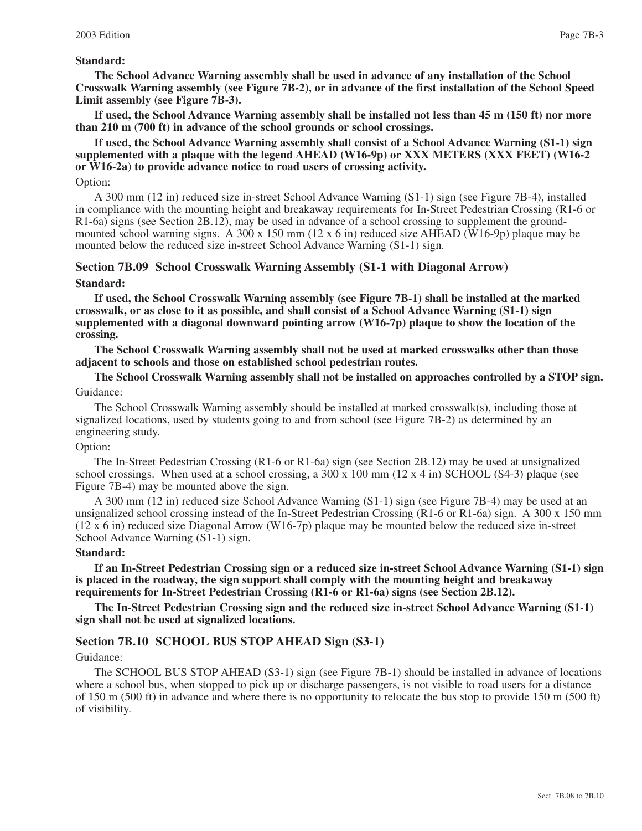#### **Standard:**

**The School Advance Warning assembly shall be used in advance of any installation of the School Crosswalk Warning assembly (see Figure 7B-2), or in advance of the first installation of the School Speed Limit assembly (see Figure 7B-3).**

**If used, the School Advance Warning assembly shall be installed not less than 45 m (150 ft) nor more than 210 m (700 ft) in advance of the school grounds or school crossings.**

**If used, the School Advance Warning assembly shall consist of a School Advance Warning (S1-1) sign supplemented with a plaque with the legend AHEAD (W16-9p) or XXX METERS (XXX FEET) (W16-2 or W16-2a) to provide advance notice to road users of crossing activity.**

#### Option:

A 300 mm (12 in) reduced size in-street School Advance Warning (S1-1) sign (see Figure 7B-4), installed in compliance with the mounting height and breakaway requirements for In-Street Pedestrian Crossing (R1-6 or R1-6a) signs (see Section 2B.12), may be used in advance of a school crossing to supplement the groundmounted school warning signs. A 300 x 150 mm (12 x 6 in) reduced size AHEAD (W16-9p) plaque may be mounted below the reduced size in-street School Advance Warning (S1-1) sign.

# **Section 7B.09 School Crosswalk Warning Assembly (S1-1 with Diagonal Arrow)**

#### **Standard:**

**If used, the School Crosswalk Warning assembly (see Figure 7B-1) shall be installed at the marked crosswalk, or as close to it as possible, and shall consist of a School Advance Warning (S1-1) sign supplemented with a diagonal downward pointing arrow (W16-7p) plaque to show the location of the crossing.**

**The School Crosswalk Warning assembly shall not be used at marked crosswalks other than those adjacent to schools and those on established school pedestrian routes.**

**The School Crosswalk Warning assembly shall not be installed on approaches controlled by a STOP sign.** Guidance:

The School Crosswalk Warning assembly should be installed at marked crosswalk(s), including those at signalized locations, used by students going to and from school (see Figure 7B-2) as determined by an engineering study.

#### Option:

The In-Street Pedestrian Crossing (R1-6 or R1-6a) sign (see Section 2B.12) may be used at unsignalized school crossings. When used at a school crossing, a  $300 \times 100$  mm ( $12 \times 4$  in) SCHOOL (S4-3) plaque (see Figure 7B-4) may be mounted above the sign.

A 300 mm (12 in) reduced size School Advance Warning (S1-1) sign (see Figure 7B-4) may be used at an unsignalized school crossing instead of the In-Street Pedestrian Crossing (R1-6 or R1-6a) sign. A 300 x 150 mm (12 x 6 in) reduced size Diagonal Arrow (W16-7p) plaque may be mounted below the reduced size in-street School Advance Warning (S1-1) sign.

#### **Standard:**

**If an In-Street Pedestrian Crossing sign or a reduced size in-street School Advance Warning (S1-1) sign is placed in the roadway, the sign support shall comply with the mounting height and breakaway requirements for In-Street Pedestrian Crossing (R1-6 or R1-6a) signs (see Section 2B.12).**

**The In-Street Pedestrian Crossing sign and the reduced size in-street School Advance Warning (S1-1) sign shall not be used at signalized locations.**

#### **Section 7B.10 SCHOOL BUS STOP AHEAD Sign (S3-1)**

#### Guidance:

The SCHOOL BUS STOP AHEAD (S3-1) sign (see Figure 7B-1) should be installed in advance of locations where a school bus, when stopped to pick up or discharge passengers, is not visible to road users for a distance of 150 m (500 ft) in advance and where there is no opportunity to relocate the bus stop to provide 150 m (500 ft) of visibility.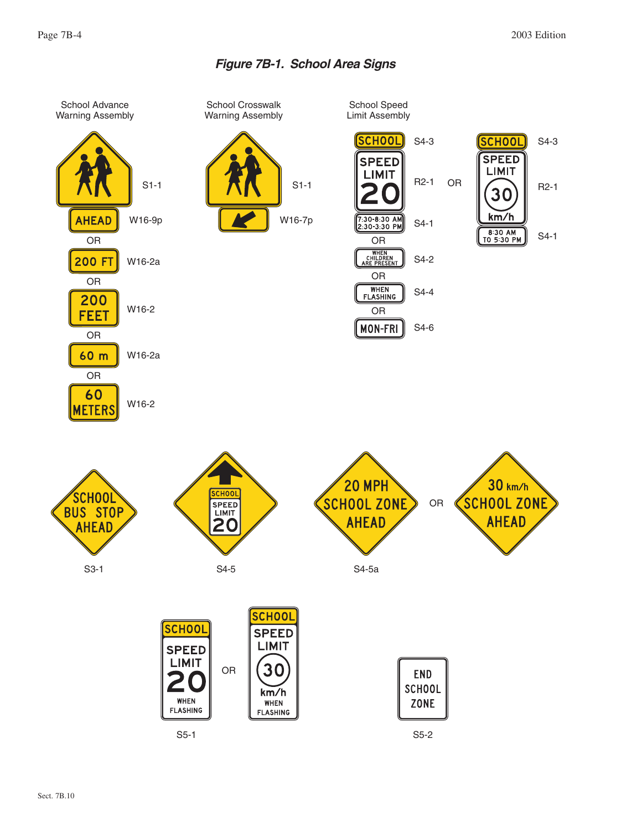# **Figure 7B-1. School Area Signs**

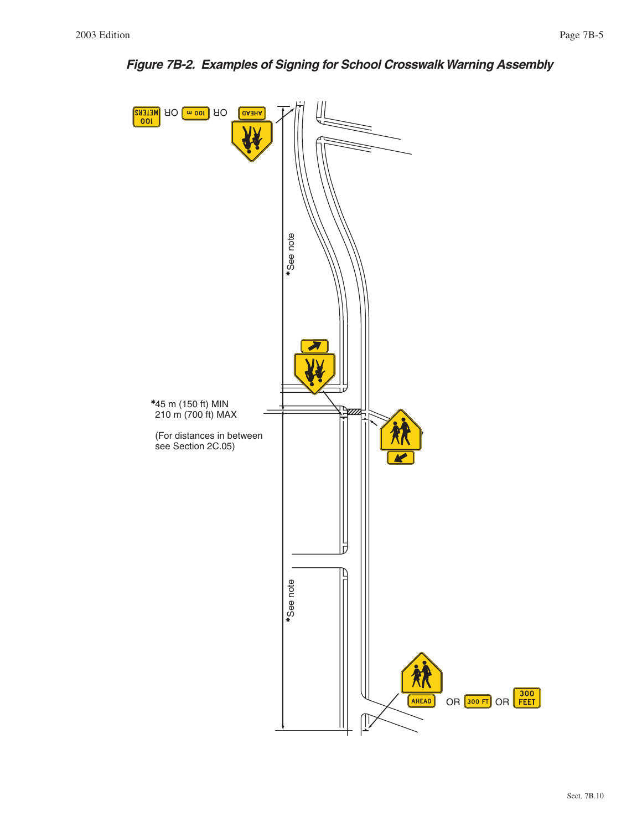

**Figure 7B-2. Examples of Signing for School Crosswalk Warning Assembly**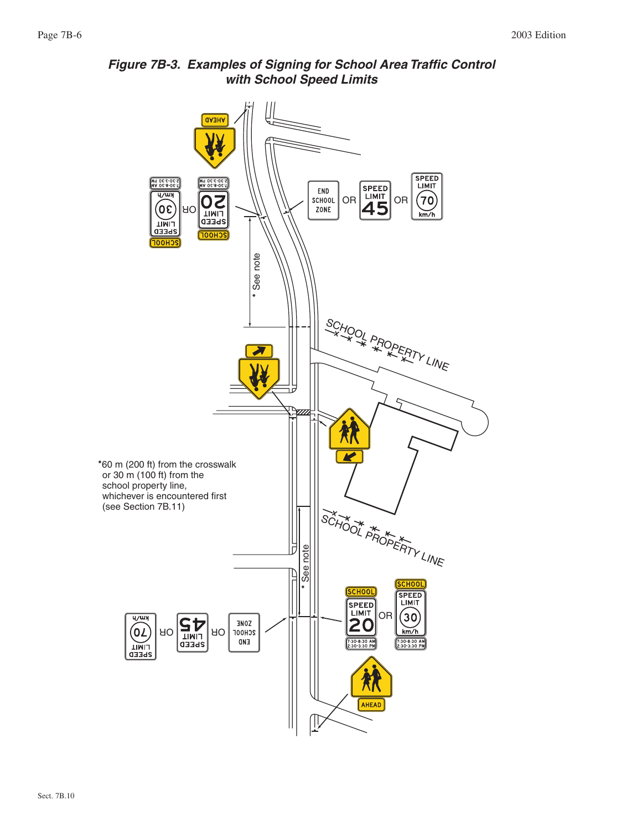

# **Figure 7B-3. Examples of Signing for School Area Traffic Control with School Speed Limits**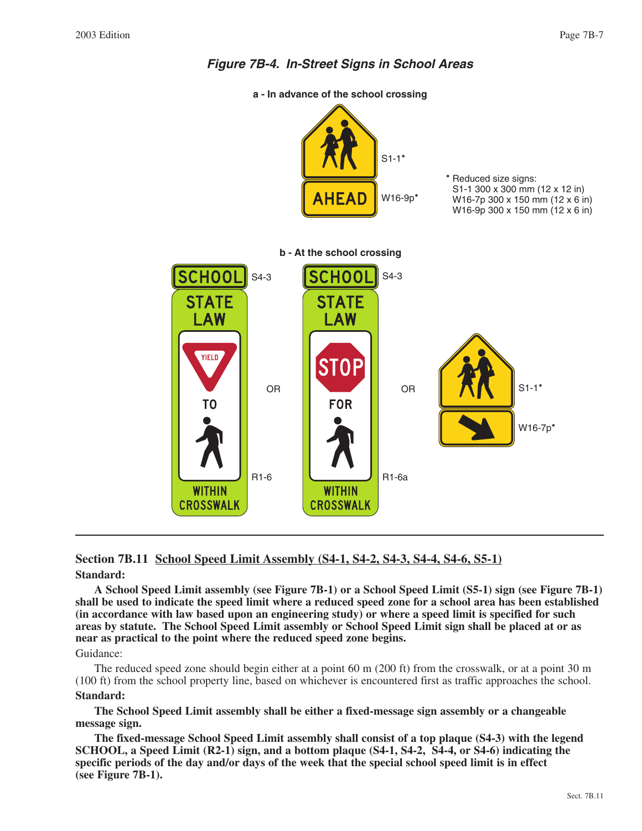# **Figure 7B-4. In-Street Signs in School Areas**

**a - In advance of the school crossing**



# **Section 7B.11 School Speed Limit Assembly (S4-1, S4-2, S4-3, S4-4, S4-6, S5-1) Standard:**

**A School Speed Limit assembly (see Figure 7B-1) or a School Speed Limit (S5-1) sign (see Figure 7B-1) shall be used to indicate the speed limit where a reduced speed zone for a school area has been established (in accordance with law based upon an engineering study) or where a speed limit is specified for such areas by statute. The School Speed Limit assembly or School Speed Limit sign shall be placed at or as near as practical to the point where the reduced speed zone begins.**

Guidance:

The reduced speed zone should begin either at a point 60 m (200 ft) from the crosswalk, or at a point 30 m (100 ft) from the school property line, based on whichever is encountered first as traffic approaches the school. **Standard:**

**The School Speed Limit assembly shall be either a fixed-message sign assembly or a changeable message sign.**

**The fixed-message School Speed Limit assembly shall consist of a top plaque (S4-3) with the legend SCHOOL, a Speed Limit (R2-1) sign, and a bottom plaque (S4-1, S4-2, S4-4, or S4-6) indicating the specific periods of the day and/or days of the week that the special school speed limit is in effect (see Figure 7B-1).**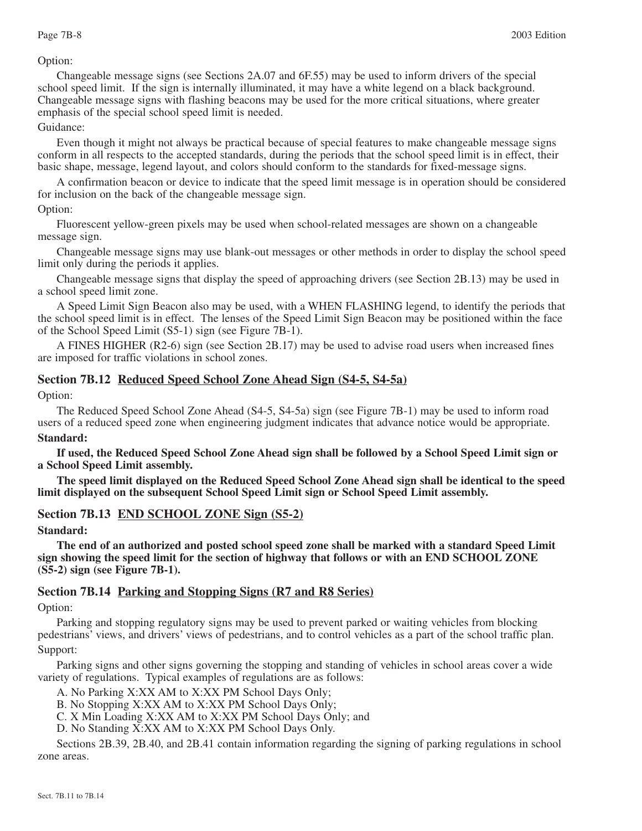# Option:

Changeable message signs (see Sections 2A.07 and 6F.55) may be used to inform drivers of the special school speed limit. If the sign is internally illuminated, it may have a white legend on a black background. Changeable message signs with flashing beacons may be used for the more critical situations, where greater emphasis of the special school speed limit is needed.

# Guidance:

Even though it might not always be practical because of special features to make changeable message signs conform in all respects to the accepted standards, during the periods that the school speed limit is in effect, their basic shape, message, legend layout, and colors should conform to the standards for fixed-message signs.

A confirmation beacon or device to indicate that the speed limit message is in operation should be considered for inclusion on the back of the changeable message sign.

# Option:

Fluorescent yellow-green pixels may be used when school-related messages are shown on a changeable message sign.

Changeable message signs may use blank-out messages or other methods in order to display the school speed limit only during the periods it applies.

Changeable message signs that display the speed of approaching drivers (see Section 2B.13) may be used in a school speed limit zone.

A Speed Limit Sign Beacon also may be used, with a WHEN FLASHING legend, to identify the periods that the school speed limit is in effect. The lenses of the Speed Limit Sign Beacon may be positioned within the face of the School Speed Limit (S5-1) sign (see Figure 7B-1).

A FINES HIGHER (R2-6) sign (see Section 2B.17) may be used to advise road users when increased fines are imposed for traffic violations in school zones.

# **Section 7B.12 Reduced Speed School Zone Ahead Sign (S4-5, S4-5a)**

# Option:

The Reduced Speed School Zone Ahead (S4-5, S4-5a) sign (see Figure 7B-1) may be used to inform road users of a reduced speed zone when engineering judgment indicates that advance notice would be appropriate. **Standard:**

**If used, the Reduced Speed School Zone Ahead sign shall be followed by a School Speed Limit sign or a School Speed Limit assembly.**

**The speed limit displayed on the Reduced Speed School Zone Ahead sign shall be identical to the speed limit displayed on the subsequent School Speed Limit sign or School Speed Limit assembly.**

# **Section 7B.13 END SCHOOL ZONE Sign (S5-2)**

# **Standard:**

**The end of an authorized and posted school speed zone shall be marked with a standard Speed Limit sign showing the speed limit for the section of highway that follows or with an END SCHOOL ZONE (S5-2) sign (see Figure 7B-1).**

# **Section 7B.14 Parking and Stopping Signs (R7 and R8 Series)**

# Option:

Parking and stopping regulatory signs may be used to prevent parked or waiting vehicles from blocking pedestrians' views, and drivers' views of pedestrians, and to control vehicles as a part of the school traffic plan. Support:

Parking signs and other signs governing the stopping and standing of vehicles in school areas cover a wide variety of regulations. Typical examples of regulations are as follows:

A. No Parking X:XX AM to X:XX PM School Days Only;

B. No Stopping X:XX AM to X:XX PM School Days Only;

C. X Min Loading X:XX AM to X:XX PM School Days Only; and

D. No Standing X:XX AM to X:XX PM School Days Only.

Sections 2B.39, 2B.40, and 2B.41 contain information regarding the signing of parking regulations in school zone areas.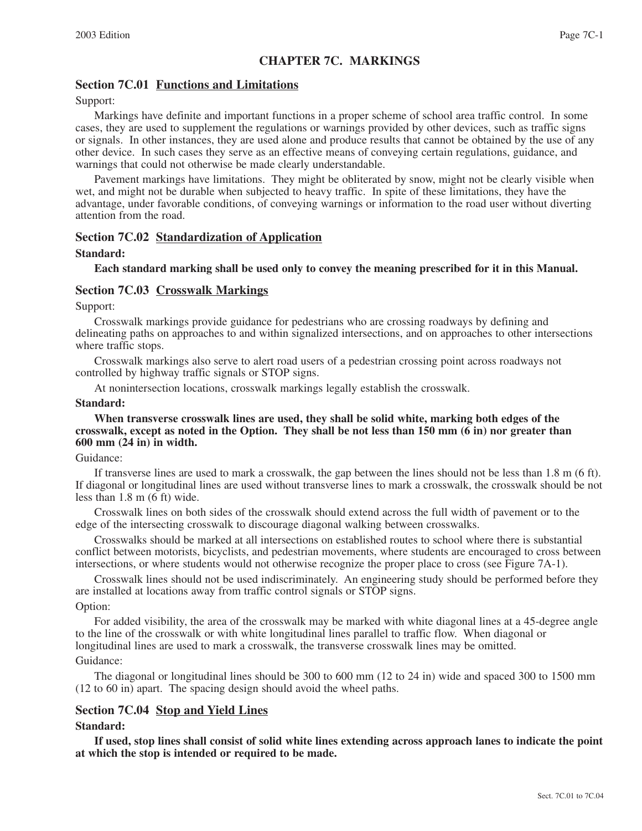# **CHAPTER 7C. MARKINGS**

# **Section 7C.01 Functions and Limitations**

#### Support:

Markings have definite and important functions in a proper scheme of school area traffic control. In some cases, they are used to supplement the regulations or warnings provided by other devices, such as traffic signs or signals. In other instances, they are used alone and produce results that cannot be obtained by the use of any other device. In such cases they serve as an effective means of conveying certain regulations, guidance, and warnings that could not otherwise be made clearly understandable.

Pavement markings have limitations. They might be obliterated by snow, might not be clearly visible when wet, and might not be durable when subjected to heavy traffic. In spite of these limitations, they have the advantage, under favorable conditions, of conveying warnings or information to the road user without diverting attention from the road.

# **Section 7C.02 Standardization of Application**

#### **Standard:**

**Each standard marking shall be used only to convey the meaning prescribed for it in this Manual.**

# **Section 7C.03 Crosswalk Markings**

Support:

Crosswalk markings provide guidance for pedestrians who are crossing roadways by defining and delineating paths on approaches to and within signalized intersections, and on approaches to other intersections where traffic stops.

Crosswalk markings also serve to alert road users of a pedestrian crossing point across roadways not controlled by highway traffic signals or STOP signs.

At nonintersection locations, crosswalk markings legally establish the crosswalk.

#### **Standard:**

#### **When transverse crosswalk lines are used, they shall be solid white, marking both edges of the crosswalk, except as noted in the Option. They shall be not less than 150 mm (6 in) nor greater than 600 mm (24 in) in width.**

#### Guidance:

If transverse lines are used to mark a crosswalk, the gap between the lines should not be less than 1.8 m (6 ft). If diagonal or longitudinal lines are used without transverse lines to mark a crosswalk, the crosswalk should be not less than 1.8 m (6 ft) wide.

Crosswalk lines on both sides of the crosswalk should extend across the full width of pavement or to the edge of the intersecting crosswalk to discourage diagonal walking between crosswalks.

Crosswalks should be marked at all intersections on established routes to school where there is substantial conflict between motorists, bicyclists, and pedestrian movements, where students are encouraged to cross between intersections, or where students would not otherwise recognize the proper place to cross (see Figure 7A-1).

Crosswalk lines should not be used indiscriminately. An engineering study should be performed before they are installed at locations away from traffic control signals or STOP signs. Option:

For added visibility, the area of the crosswalk may be marked with white diagonal lines at a 45-degree angle to the line of the crosswalk or with white longitudinal lines parallel to traffic flow. When diagonal or longitudinal lines are used to mark a crosswalk, the transverse crosswalk lines may be omitted.

#### Guidance:

The diagonal or longitudinal lines should be 300 to 600 mm (12 to 24 in) wide and spaced 300 to 1500 mm (12 to 60 in) apart. The spacing design should avoid the wheel paths.

# **Section 7C.04 Stop and Yield Lines**

# **Standard:**

**If used, stop lines shall consist of solid white lines extending across approach lanes to indicate the point at which the stop is intended or required to be made.**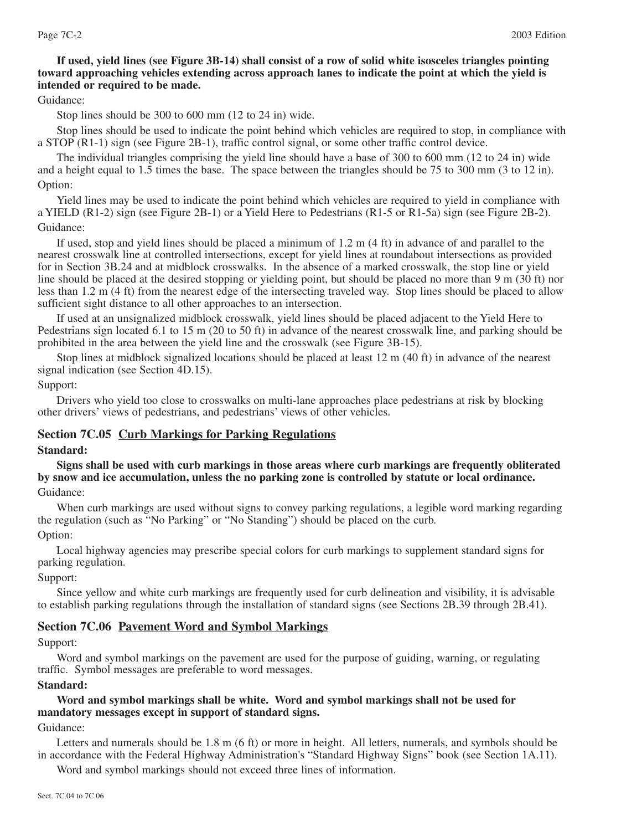# **If used, yield lines (see Figure 3B-14) shall consist of a row of solid white isosceles triangles pointing toward approaching vehicles extending across approach lanes to indicate the point at which the yield is intended or required to be made.**

# Guidance:

Stop lines should be 300 to 600 mm (12 to 24 in) wide.

Stop lines should be used to indicate the point behind which vehicles are required to stop, in compliance with a STOP (R1-1) sign (see Figure 2B-1), traffic control signal, or some other traffic control device.

The individual triangles comprising the yield line should have a base of 300 to 600 mm (12 to 24 in) wide and a height equal to 1.5 times the base. The space between the triangles should be 75 to 300 mm (3 to 12 in). Option:

Yield lines may be used to indicate the point behind which vehicles are required to yield in compliance with a YIELD (R1-2) sign (see Figure 2B-1) or a Yield Here to Pedestrians (R1-5 or R1-5a) sign (see Figure 2B-2). Guidance:

If used, stop and yield lines should be placed a minimum of 1.2 m (4 ft) in advance of and parallel to the nearest crosswalk line at controlled intersections, except for yield lines at roundabout intersections as provided for in Section 3B.24 and at midblock crosswalks. In the absence of a marked crosswalk, the stop line or yield line should be placed at the desired stopping or yielding point, but should be placed no more than 9 m (30 ft) nor less than 1.2 m (4 ft) from the nearest edge of the intersecting traveled way. Stop lines should be placed to allow sufficient sight distance to all other approaches to an intersection.

If used at an unsignalized midblock crosswalk, yield lines should be placed adjacent to the Yield Here to Pedestrians sign located 6.1 to 15 m (20 to 50 ft) in advance of the nearest crosswalk line, and parking should be prohibited in the area between the yield line and the crosswalk (see Figure 3B-15).

Stop lines at midblock signalized locations should be placed at least 12 m (40 ft) in advance of the nearest signal indication (see Section 4D.15).

# Support:

Drivers who yield too close to crosswalks on multi-lane approaches place pedestrians at risk by blocking other drivers' views of pedestrians, and pedestrians' views of other vehicles.

# **Section 7C.05 Curb Markings for Parking Regulations**

# **Standard:**

#### **Signs shall be used with curb markings in those areas where curb markings are frequently obliterated by snow and ice accumulation, unless the no parking zone is controlled by statute or local ordinance.** Guidance:

When curb markings are used without signs to convey parking regulations, a legible word marking regarding the regulation (such as "No Parking" or "No Standing") should be placed on the curb.

# Option:

Local highway agencies may prescribe special colors for curb markings to supplement standard signs for parking regulation.

# Support:

Since yellow and white curb markings are frequently used for curb delineation and visibility, it is advisable to establish parking regulations through the installation of standard signs (see Sections 2B.39 through 2B.41).

# **Section 7C.06 Pavement Word and Symbol Markings**

# Support:

Word and symbol markings on the pavement are used for the purpose of guiding, warning, or regulating traffic. Symbol messages are preferable to word messages.

# **Standard:**

# **Word and symbol markings shall be white. Word and symbol markings shall not be used for mandatory messages except in support of standard signs.**

# Guidance:

Letters and numerals should be 1.8 m (6 ft) or more in height. All letters, numerals, and symbols should be in accordance with the Federal Highway Administration's "Standard Highway Signs" book (see Section 1A.11).

Word and symbol markings should not exceed three lines of information.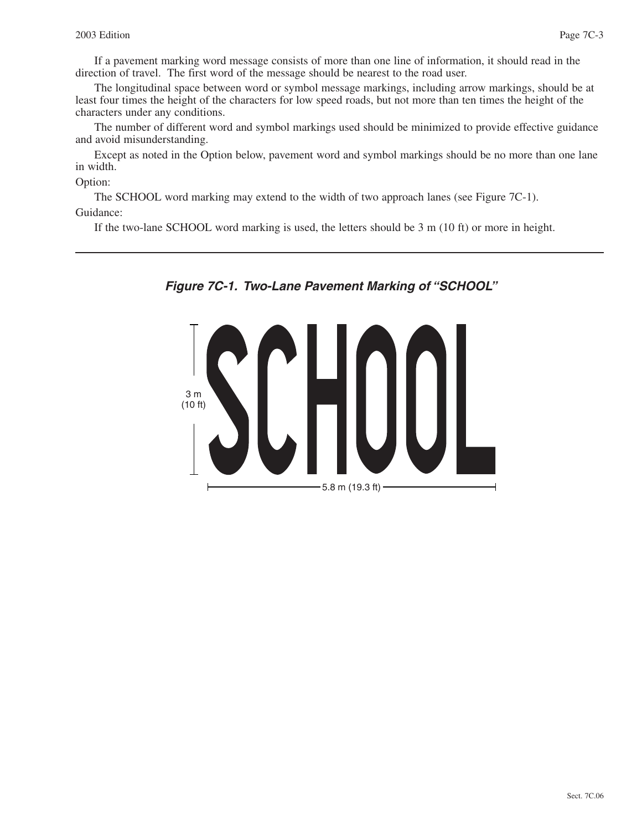If a pavement marking word message consists of more than one line of information, it should read in the direction of travel. The first word of the message should be nearest to the road user.

The longitudinal space between word or symbol message markings, including arrow markings, should be at least four times the height of the characters for low speed roads, but not more than ten times the height of the characters under any conditions.

The number of different word and symbol markings used should be minimized to provide effective guidance and avoid misunderstanding.

Except as noted in the Option below, pavement word and symbol markings should be no more than one lane in width.

#### Option:

The SCHOOL word marking may extend to the width of two approach lanes (see Figure 7C-1). Guidance:

If the two-lane SCHOOL word marking is used, the letters should be 3 m (10 ft) or more in height.

**Figure 7C-1. Two-Lane Pavement Marking of "SCHOOL"**

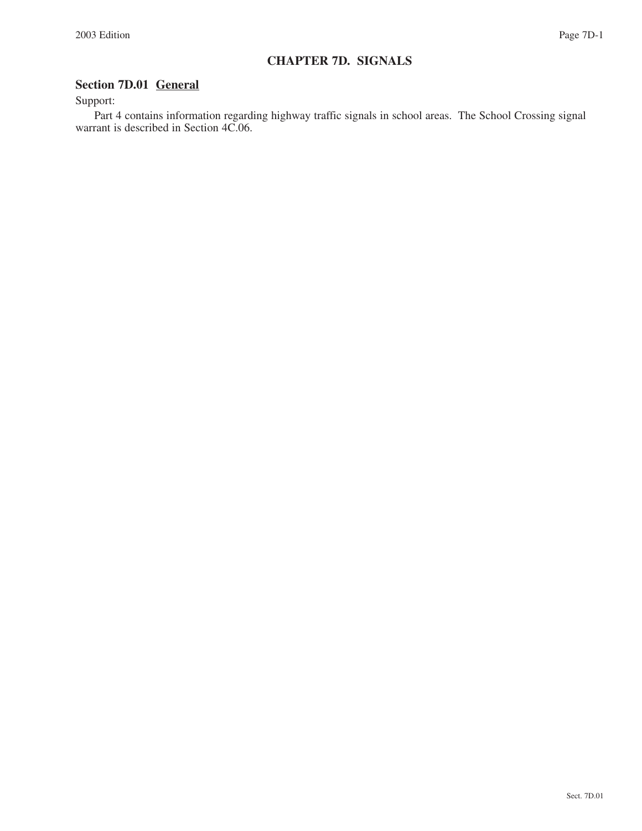# **CHAPTER 7D. SIGNALS**

# **Section 7D.01 General**

# Support:

Part 4 contains information regarding highway traffic signals in school areas. The School Crossing signal warrant is described in Section 4C.06.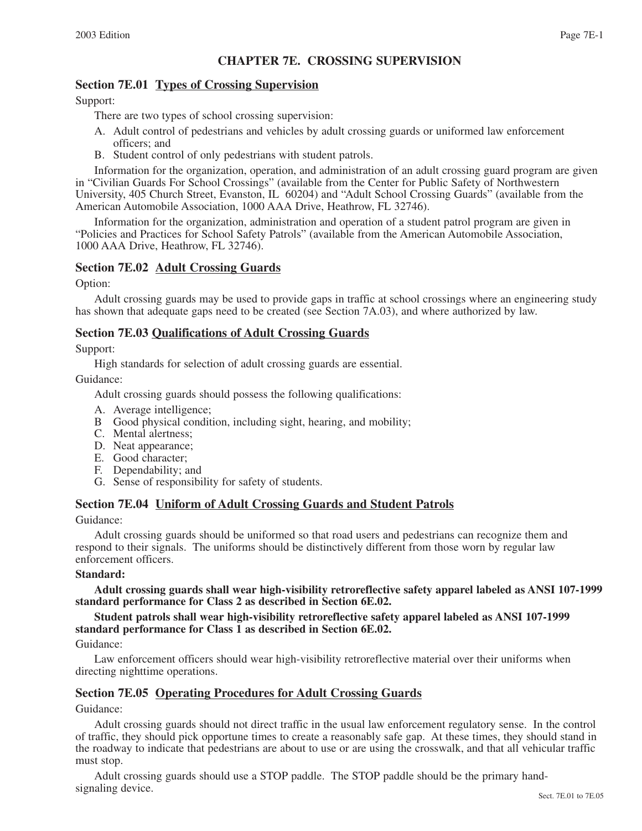# **CHAPTER 7E. CROSSING SUPERVISION**

# **Section 7E.01 Types of Crossing Supervision**

# Support:

There are two types of school crossing supervision:

- A. Adult control of pedestrians and vehicles by adult crossing guards or uniformed law enforcement officers; and
- B. Student control of only pedestrians with student patrols.

Information for the organization, operation, and administration of an adult crossing guard program are given in "Civilian Guards For School Crossings" (available from the Center for Public Safety of Northwestern University, 405 Church Street, Evanston, IL 60204) and "Adult School Crossing Guards" (available from the American Automobile Association, 1000 AAA Drive, Heathrow, FL 32746).

Information for the organization, administration and operation of a student patrol program are given in "Policies and Practices for School Safety Patrols" (available from the American Automobile Association, 1000 AAA Drive, Heathrow, FL 32746).

# **Section 7E.02 Adult Crossing Guards**

Option:

Adult crossing guards may be used to provide gaps in traffic at school crossings where an engineering study has shown that adequate gaps need to be created (see Section 7A.03), and where authorized by law.

# **Section 7E.03 Qualifications of Adult Crossing Guards**

Support:

High standards for selection of adult crossing guards are essential.

Guidance:

Adult crossing guards should possess the following qualifications:

- A. Average intelligence;
- B Good physical condition, including sight, hearing, and mobility;
- C. Mental alertness;
- D. Neat appearance;
- E. Good character;
- F. Dependability; and
- G. Sense of responsibility for safety of students.

# **Section 7E.04 Uniform of Adult Crossing Guards and Student Patrols**

Guidance:

Adult crossing guards should be uniformed so that road users and pedestrians can recognize them and respond to their signals. The uniforms should be distinctively different from those worn by regular law enforcement officers.

# **Standard:**

**Adult crossing guards shall wear high-visibility retroreflective safety apparel labeled as ANSI 107-1999 standard performance for Class 2 as described in Section 6E.02.**

# **Student patrols shall wear high-visibility retroreflective safety apparel labeled as ANSI 107-1999 standard performance for Class 1 as described in Section 6E.02.**

#### Guidance:

Law enforcement officers should wear high-visibility retroreflective material over their uniforms when directing nighttime operations.

# **Section 7E.05 Operating Procedures for Adult Crossing Guards**

Guidance:

Adult crossing guards should not direct traffic in the usual law enforcement regulatory sense. In the control of traffic, they should pick opportune times to create a reasonably safe gap. At these times, they should stand in the roadway to indicate that pedestrians are about to use or are using the crosswalk, and that all vehicular traffic must stop.

Adult crossing guards should use a STOP paddle. The STOP paddle should be the primary handsignaling device.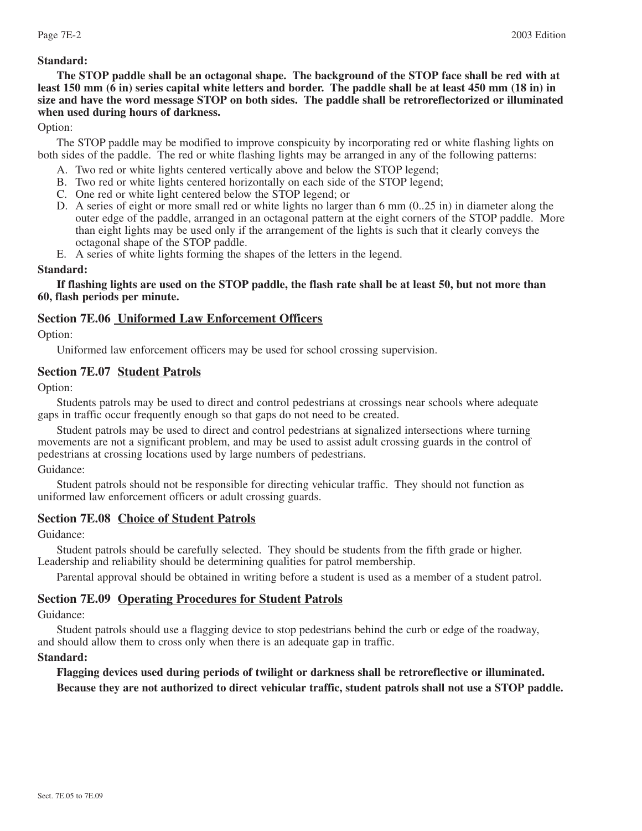# **Standard:**

**The STOP paddle shall be an octagonal shape. The background of the STOP face shall be red with at least 150 mm (6 in) series capital white letters and border. The paddle shall be at least 450 mm (18 in) in size and have the word message STOP on both sides. The paddle shall be retroreflectorized or illuminated when used during hours of darkness.**

Option:

The STOP paddle may be modified to improve conspicuity by incorporating red or white flashing lights on both sides of the paddle. The red or white flashing lights may be arranged in any of the following patterns:

- A. Two red or white lights centered vertically above and below the STOP legend;
- B. Two red or white lights centered horizontally on each side of the STOP legend;
- C. One red or white light centered below the STOP legend; or
- D. A series of eight or more small red or white lights no larger than 6 mm (0..25 in) in diameter along the outer edge of the paddle, arranged in an octagonal pattern at the eight corners of the STOP paddle. More than eight lights may be used only if the arrangement of the lights is such that it clearly conveys the octagonal shape of the STOP paddle.
- E. A series of white lights forming the shapes of the letters in the legend.

#### **Standard:**

**If flashing lights are used on the STOP paddle, the flash rate shall be at least 50, but not more than 60, flash periods per minute.**

# **Section 7E.06 Uniformed Law Enforcement Officers**

Option:

Uniformed law enforcement officers may be used for school crossing supervision.

# **Section 7E.07 Student Patrols**

Option:

Students patrols may be used to direct and control pedestrians at crossings near schools where adequate gaps in traffic occur frequently enough so that gaps do not need to be created.

Student patrols may be used to direct and control pedestrians at signalized intersections where turning movements are not a significant problem, and may be used to assist adult crossing guards in the control of pedestrians at crossing locations used by large numbers of pedestrians.

Guidance:

Student patrols should not be responsible for directing vehicular traffic. They should not function as uniformed law enforcement officers or adult crossing guards.

# **Section 7E.08 Choice of Student Patrols**

Guidance:

Student patrols should be carefully selected. They should be students from the fifth grade or higher. Leadership and reliability should be determining qualities for patrol membership.

Parental approval should be obtained in writing before a student is used as a member of a student patrol.

# **Section 7E.09 Operating Procedures for Student Patrols**

Guidance:

Student patrols should use a flagging device to stop pedestrians behind the curb or edge of the roadway, and should allow them to cross only when there is an adequate gap in traffic.

# **Standard:**

# **Flagging devices used during periods of twilight or darkness shall be retroreflective or illuminated. Because they are not authorized to direct vehicular traffic, student patrols shall not use a STOP paddle.**